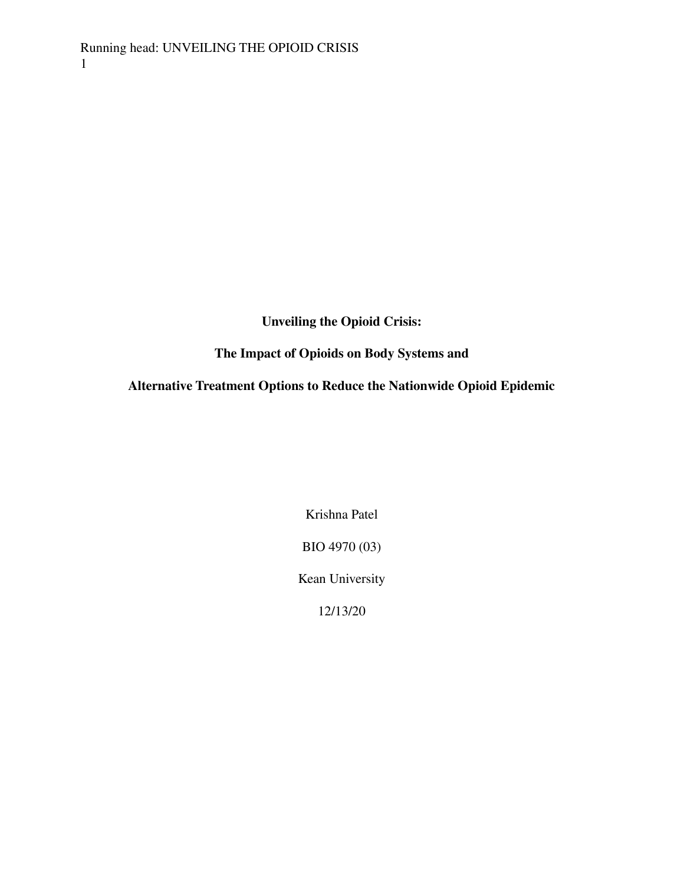**Unveiling the Opioid Crisis:**

**The Impact of Opioids on Body Systems and**

**Alternative Treatment Options to Reduce the Nationwide Opioid Epidemic**

Krishna Patel

BIO 4970 (03)

Kean University

12/13/20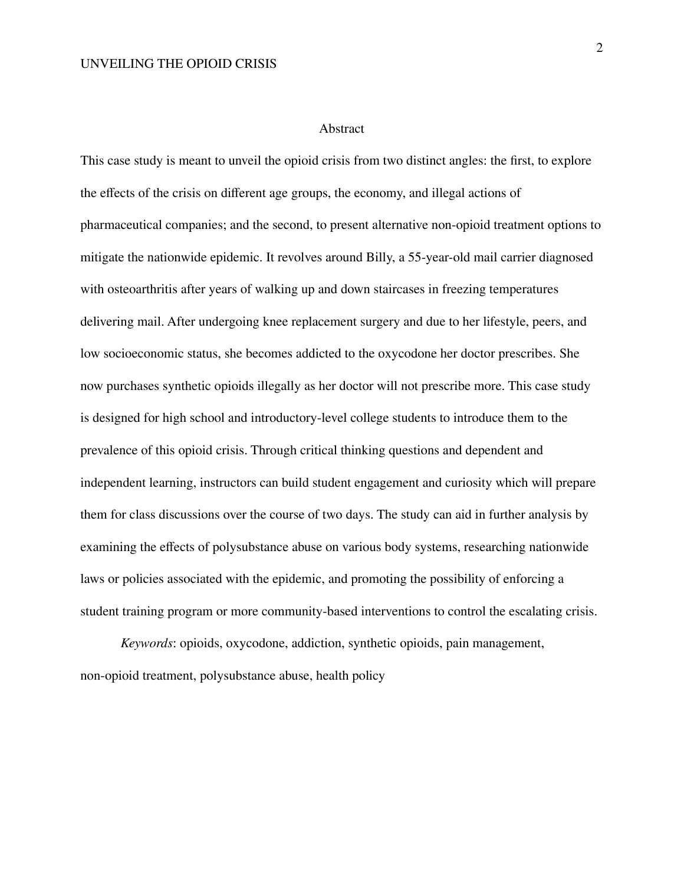#### Abstract

This case study is meant to unveil the opioid crisis from two distinct angles: the first, to explore the effects of the crisis on different age groups, the economy, and illegal actions of pharmaceutical companies; and the second, to present alternative non-opioid treatment options to mitigate the nationwide epidemic. It revolves around Billy, a 55-year-old mail carrier diagnosed with osteoarthritis after years of walking up and down staircases in freezing temperatures delivering mail. After undergoing knee replacement surgery and due to her lifestyle, peers, and low socioeconomic status, she becomes addicted to the oxycodone her doctor prescribes. She now purchases synthetic opioids illegally as her doctor will not prescribe more. This case study is designed for high school and introductory-level college students to introduce them to the prevalence of this opioid crisis. Through critical thinking questions and dependent and independent learning, instructors can build student engagement and curiosity which will prepare them for class discussions over the course of two days. The study can aid in further analysis by examining the effects of polysubstance abuse on various body systems, researching nationwide laws or policies associated with the epidemic, and promoting the possibility of enforcing a student training program or more community-based interventions to control the escalating crisis.

*Keywords*: opioids, oxycodone, addiction, synthetic opioids, pain management, non-opioid treatment, polysubstance abuse, health policy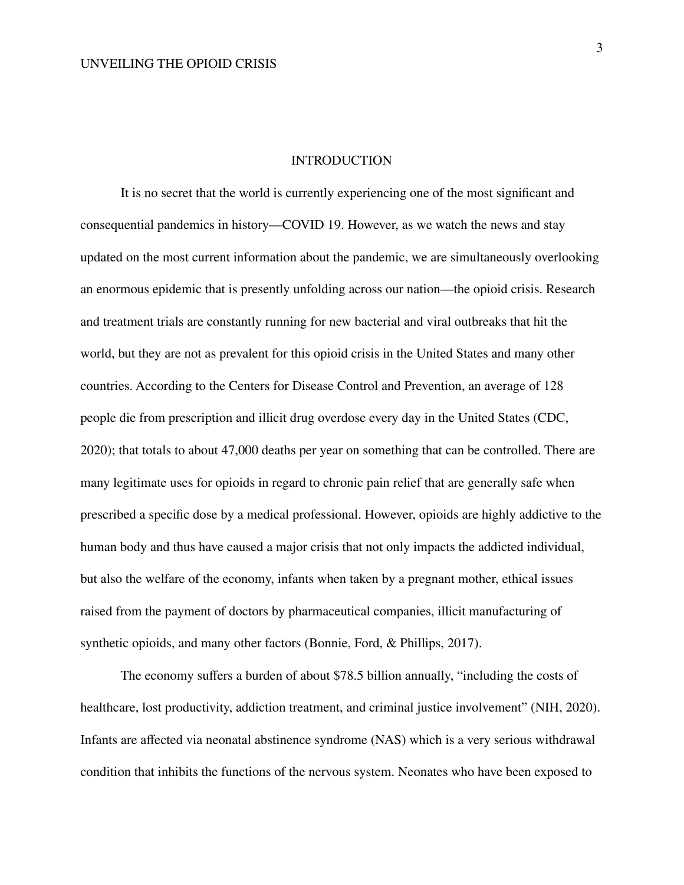#### **INTRODUCTION**

It is no secret that the world is currently experiencing one of the most significant and consequential pandemics in history—COVID 19. However, as we watch the news and stay updated on the most current information about the pandemic, we are simultaneously overlooking an enormous epidemic that is presently unfolding across our nation—the opioid crisis. Research and treatment trials are constantly running for new bacterial and viral outbreaks that hit the world, but they are not as prevalent for this opioid crisis in the United States and many other countries. According to the Centers for Disease Control and Prevention, an average of 128 people die from prescription and illicit drug overdose every day in the United States (CDC, 2020); that totals to about 47,000 deaths per year on something that can be controlled. There are many legitimate uses for opioids in regard to chronic pain relief that are generally safe when prescribed a specific dose by a medical professional. However, opioids are highly addictive to the human body and thus have caused a major crisis that not only impacts the addicted individual, but also the welfare of the economy, infants when taken by a pregnant mother, ethical issues raised from the payment of doctors by pharmaceutical companies, illicit manufacturing of synthetic opioids, and many other factors (Bonnie, Ford, & Phillips, 2017).

The economy suffers a burden of about \$78.5 billion annually, "including the costs of healthcare, lost productivity, addiction treatment, and criminal justice involvement" (NIH, 2020). Infants are affected via neonatal abstinence syndrome (NAS) which is a very serious withdrawal condition that inhibits the functions of the nervous system. Neonates who have been exposed to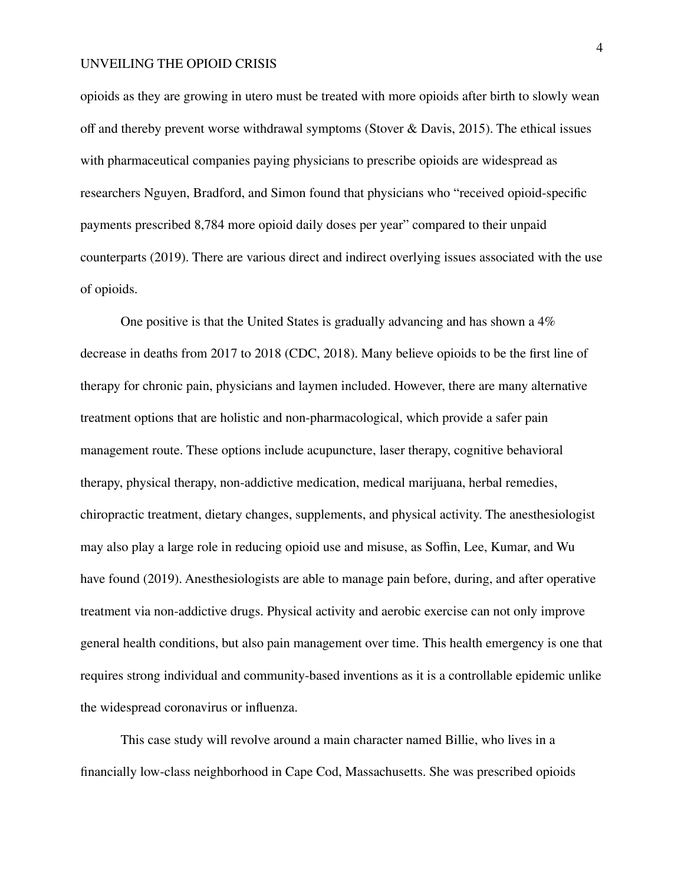opioids as they are growing in utero must be treated with more opioids after birth to slowly wean off and thereby prevent worse withdrawal symptoms (Stover & Davis, 2015). The ethical issues with pharmaceutical companies paying physicians to prescribe opioids are widespread as researchers Nguyen, Bradford, and Simon found that physicians who "received opioid-specific payments prescribed 8,784 more opioid daily doses per year" compared to their unpaid counterparts (2019). There are various direct and indirect overlying issues associated with the use of opioids.

One positive is that the United States is gradually advancing and has shown a 4% decrease in deaths from 2017 to 2018 (CDC, 2018). Many believe opioids to be the first line of therapy for chronic pain, physicians and laymen included. However, there are many alternative treatment options that are holistic and non-pharmacological, which provide a safer pain management route. These options include acupuncture, laser therapy, cognitive behavioral therapy, physical therapy, non-addictive medication, medical marijuana, herbal remedies, chiropractic treatment, dietary changes, supplements, and physical activity. The anesthesiologist may also play a large role in reducing opioid use and misuse, as Soffin, Lee, Kumar, and Wu have found (2019). Anesthesiologists are able to manage pain before, during, and after operative treatment via non-addictive drugs. Physical activity and aerobic exercise can not only improve general health conditions, but also pain management over time. This health emergency is one that requires strong individual and community-based inventions as it is a controllable epidemic unlike the widespread coronavirus or influenza.

This case study will revolve around a main character named Billie, who lives in a financially low-class neighborhood in Cape Cod, Massachusetts. She was prescribed opioids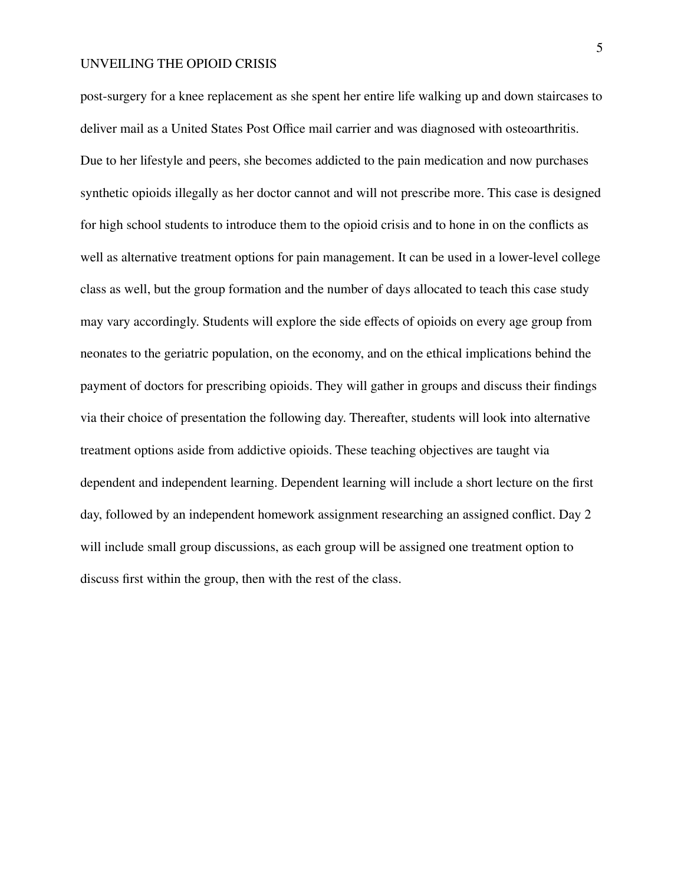post-surgery for a knee replacement as she spent her entire life walking up and down staircases to deliver mail as a United States Post Office mail carrier and was diagnosed with osteoarthritis. Due to her lifestyle and peers, she becomes addicted to the pain medication and now purchases synthetic opioids illegally as her doctor cannot and will not prescribe more. This case is designed for high school students to introduce them to the opioid crisis and to hone in on the conflicts as well as alternative treatment options for pain management. It can be used in a lower-level college class as well, but the group formation and the number of days allocated to teach this case study may vary accordingly. Students will explore the side effects of opioids on every age group from neonates to the geriatric population, on the economy, and on the ethical implications behind the payment of doctors for prescribing opioids. They will gather in groups and discuss their findings via their choice of presentation the following day. Thereafter, students will look into alternative treatment options aside from addictive opioids. These teaching objectives are taught via dependent and independent learning. Dependent learning will include a short lecture on the first day, followed by an independent homework assignment researching an assigned conflict. Day 2 will include small group discussions, as each group will be assigned one treatment option to discuss first within the group, then with the rest of the class.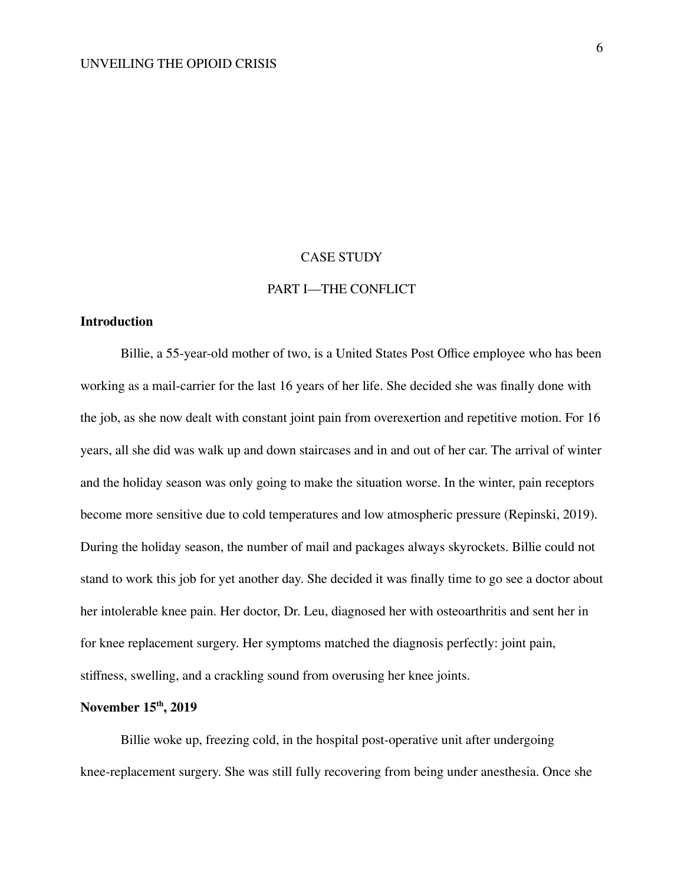#### CASE STUDY

## PART I—THE CONFLICT

## **Introduction**

Billie, a 55-year-old mother of two, is a United States Post Office employee who has been working as a mail-carrier for the last 16 years of her life. She decided she was finally done with the job, as she now dealt with constant joint pain from overexertion and repetitive motion. For 16 years, all she did was walk up and down staircases and in and out of her car. The arrival of winter and the holiday season was only going to make the situation worse. In the winter, pain receptors become more sensitive due to cold temperatures and low atmospheric pressure (Repinski, 2019). During the holiday season, the number of mail and packages always skyrockets. Billie could not stand to work this job for yet another day. She decided it was finally time to go see a doctor about her intolerable knee pain. Her doctor, Dr. Leu, diagnosed her with osteoarthritis and sent her in for knee replacement surgery. Her symptoms matched the diagnosis perfectly: joint pain, stiffness, swelling, and a crackling sound from overusing her knee joints.

## **November 15 th , 2019**

Billie woke up, freezing cold, in the hospital post-operative unit after undergoing knee-replacement surgery. She was still fully recovering from being under anesthesia. Once she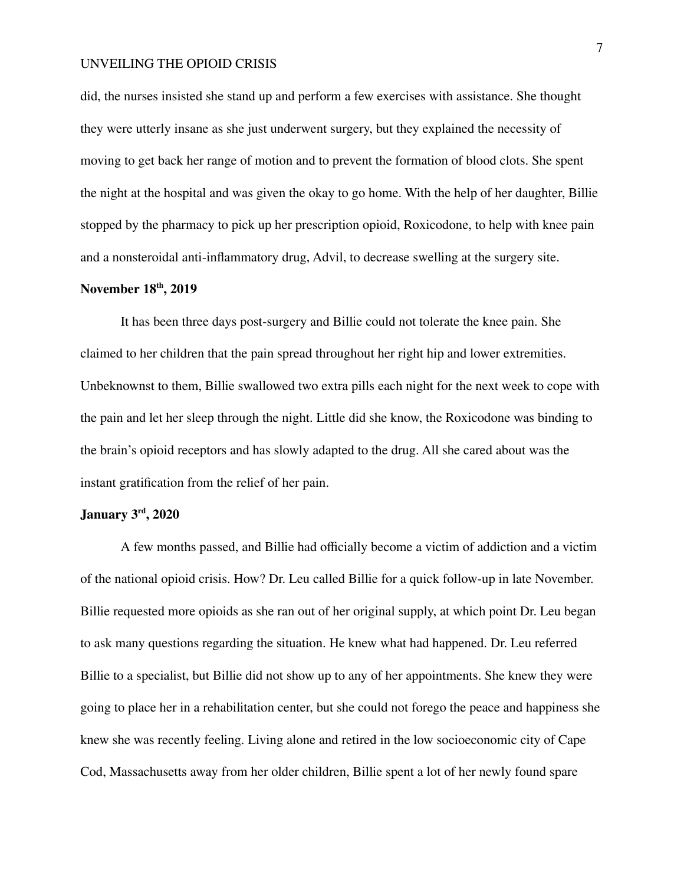did, the nurses insisted she stand up and perform a few exercises with assistance. She thought they were utterly insane as she just underwent surgery, but they explained the necessity of moving to get back her range of motion and to prevent the formation of blood clots. She spent the night at the hospital and was given the okay to go home. With the help of her daughter, Billie stopped by the pharmacy to pick up her prescription opioid, Roxicodone, to help with knee pain and a nonsteroidal anti-inflammatory drug, Advil, to decrease swelling at the surgery site.

## **November 18 th , 2019**

It has been three days post-surgery and Billie could not tolerate the knee pain. She claimed to her children that the pain spread throughout her right hip and lower extremities. Unbeknownst to them, Billie swallowed two extra pills each night for the next week to cope with the pain and let her sleep through the night. Little did she know, the Roxicodone was binding to the brain's opioid receptors and has slowly adapted to the drug. All she cared about was the instant gratification from the relief of her pain.

## **January 3 rd , 2020**

A few months passed, and Billie had officially become a victim of addiction and a victim of the national opioid crisis. How? Dr. Leu called Billie for a quick follow-up in late November. Billie requested more opioids as she ran out of her original supply, at which point Dr. Leu began to ask many questions regarding the situation. He knew what had happened. Dr. Leu referred Billie to a specialist, but Billie did not show up to any of her appointments. She knew they were going to place her in a rehabilitation center, but she could not forego the peace and happiness she knew she was recently feeling. Living alone and retired in the low socioeconomic city of Cape Cod, Massachusetts away from her older children, Billie spent a lot of her newly found spare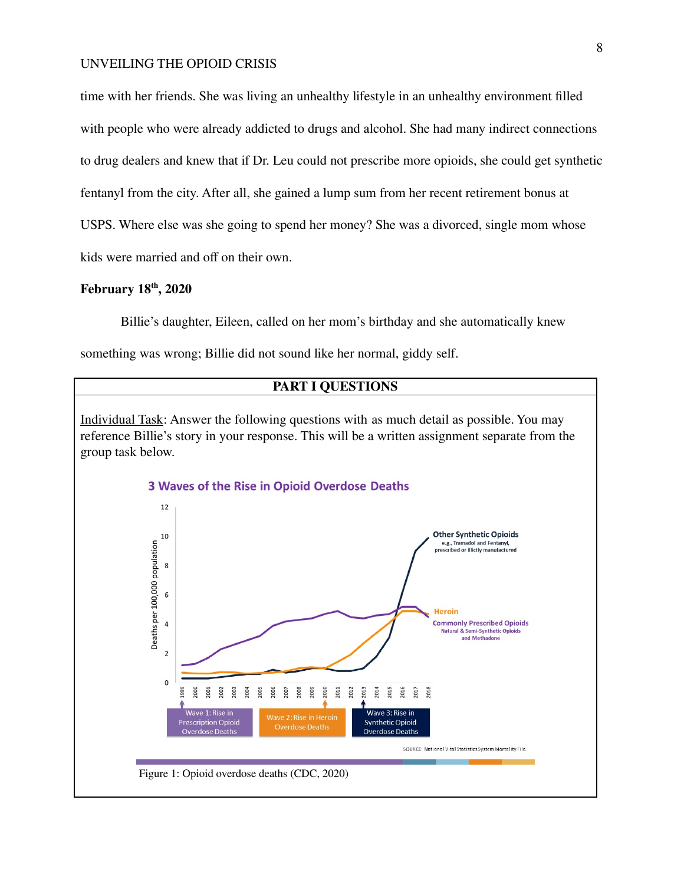time with her friends. She was living an unhealthy lifestyle in an unhealthy environment filled with people who were already addicted to drugs and alcohol. She had many indirect connections to drug dealers and knew that if Dr. Leu could not prescribe more opioids, she could get synthetic fentanyl from the city. After all, she gained a lump sum from her recent retirement bonus at USPS. Where else was she going to spend her money? She was a divorced, single mom whose kids were married and off on their own.

## **February 18 th , 2020**

Billie's daughter, Eileen, called on her mom's birthday and she automatically knew

something was wrong; Billie did not sound like her normal, giddy self.

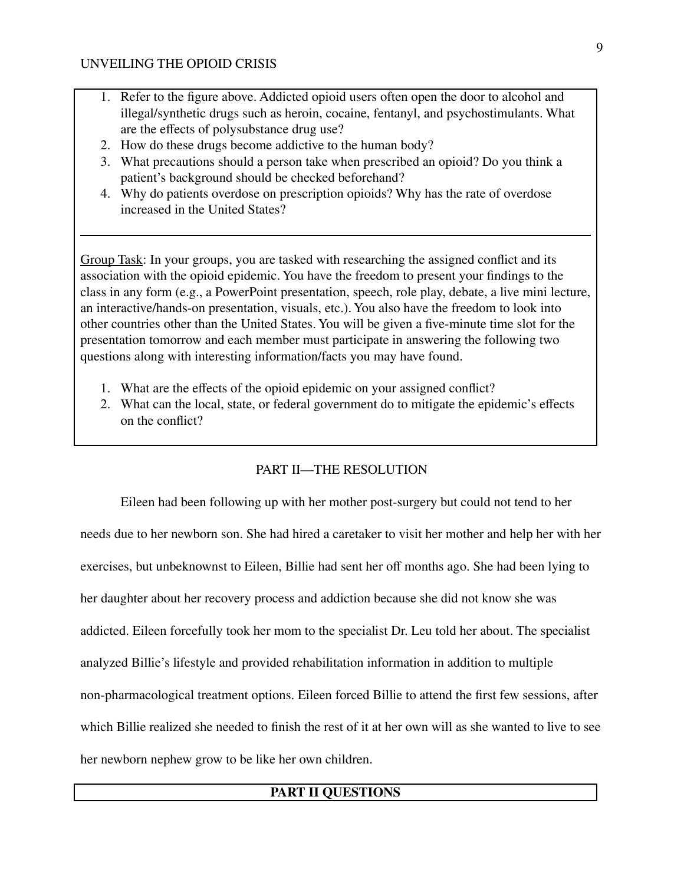- 1. Refer to the figure above. Addicted opioid users often open the door to alcohol and illegal/synthetic drugs such as heroin, cocaine, fentanyl, and psychostimulants. What are the effects of polysubstance drug use?
- 2. How do these drugs become addictive to the human body?
- 3. What precautions should a person take when prescribed an opioid? Do you think a patient's background should be checked beforehand?
- 4. Why do patients overdose on prescription opioids? Why has the rate of overdose increased in the United States?

Group Task: In your groups, you are tasked with researching the assigned conflict and its association with the opioid epidemic. You have the freedom to present your findings to the class in any form (e.g., a PowerPoint presentation, speech, role play, debate, a live mini lecture, an interactive/hands-on presentation, visuals, etc.). You also have the freedom to look into other countries other than the United States. You will be given a five-minute time slot for the presentation tomorrow and each member must participate in answering the following two questions along with interesting information/facts you may have found.

- 1. What are the effects of the opioid epidemic on your assigned conflict?
- 2. What can the local, state, or federal government do to mitigate the epidemic's effects on the conflict?

# PART II—THE RESOLUTION

Eileen had been following up with her mother post-surgery but could not tend to her needs due to her newborn son. She had hired a caretaker to visit her mother and help her with her exercises, but unbeknownst to Eileen, Billie had sent her off months ago. She had been lying to her daughter about her recovery process and addiction because she did not know she was addicted. Eileen forcefully took her mom to the specialist Dr. Leu told her about. The specialist analyzed Billie's lifestyle and provided rehabilitation information in addition to multiple non-pharmacological treatment options. Eileen forced Billie to attend the first few sessions, after which Billie realized she needed to finish the rest of it at her own will as she wanted to live to see her newborn nephew grow to be like her own children.

## **PART II QUESTIONS**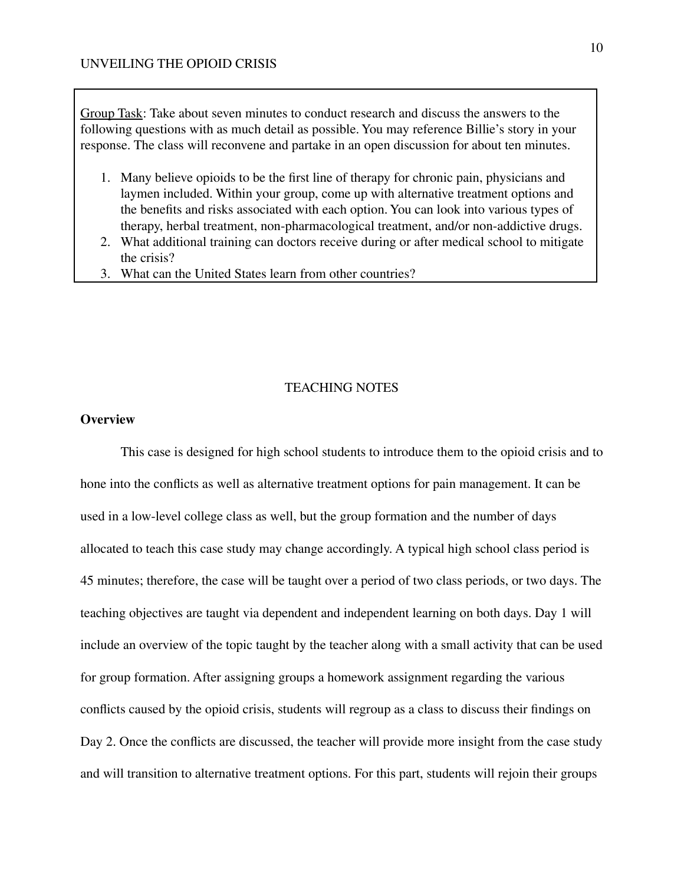Group Task: Take about seven minutes to conduct research and discuss the answers to the following questions with as much detail as possible. You may reference Billie's story in your response. The class will reconvene and partake in an open discussion for about ten minutes.

- 1. Many believe opioids to be the first line of therapy for chronic pain, physicians and laymen included. Within your group, come up with alternative treatment options and the benefits and risks associated with each option. You can look into various types of therapy, herbal treatment, non-pharmacological treatment, and/or non-addictive drugs.
- 2. What additional training can doctors receive during or after medical school to mitigate the crisis?
- 3. What can the United States learn from other countries?

## TEACHING NOTES

## **Overview**

This case is designed for high school students to introduce them to the opioid crisis and to hone into the conflicts as well as alternative treatment options for pain management. It can be used in a low-level college class as well, but the group formation and the number of days allocated to teach this case study may change accordingly. A typical high school class period is 45 minutes; therefore, the case will be taught over a period of two class periods, or two days. The teaching objectives are taught via dependent and independent learning on both days. Day 1 will include an overview of the topic taught by the teacher along with a small activity that can be used for group formation. After assigning groups a homework assignment regarding the various conflicts caused by the opioid crisis, students will regroup as a class to discuss their findings on Day 2. Once the conflicts are discussed, the teacher will provide more insight from the case study and will transition to alternative treatment options. For this part, students will rejoin their groups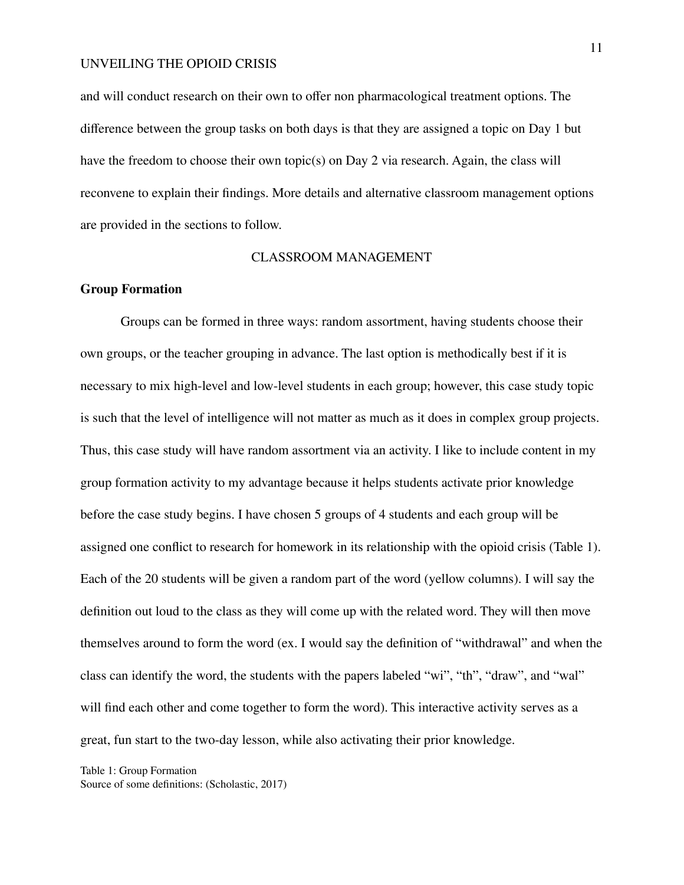and will conduct research on their own to offer non pharmacological treatment options. The difference between the group tasks on both days is that they are assigned a topic on Day 1 but have the freedom to choose their own topic(s) on Day 2 via research. Again, the class will reconvene to explain their findings. More details and alternative classroom management options are provided in the sections to follow.

#### CLASSROOM MANAGEMENT

#### **Group Formation**

Groups can be formed in three ways: random assortment, having students choose their own groups, or the teacher grouping in advance. The last option is methodically best if it is necessary to mix high-level and low-level students in each group; however, this case study topic is such that the level of intelligence will not matter as much as it does in complex group projects. Thus, this case study will have random assortment via an activity. I like to include content in my group formation activity to my advantage because it helps students activate prior knowledge before the case study begins. I have chosen 5 groups of 4 students and each group will be assigned one conflict to research for homework in its relationship with the opioid crisis (Table 1). Each of the 20 students will be given a random part of the word (yellow columns). I will say the definition out loud to the class as they will come up with the related word. They will then move themselves around to form the word (ex. I would say the definition of "withdrawal" and when the class can identify the word, the students with the papers labeled "wi", "th", "draw", and "wal" will find each other and come together to form the word). This interactive activity serves as a great, fun start to the two-day lesson, while also activating their prior knowledge.

Table 1: Group Formation Source of some definitions: (Scholastic, 2017)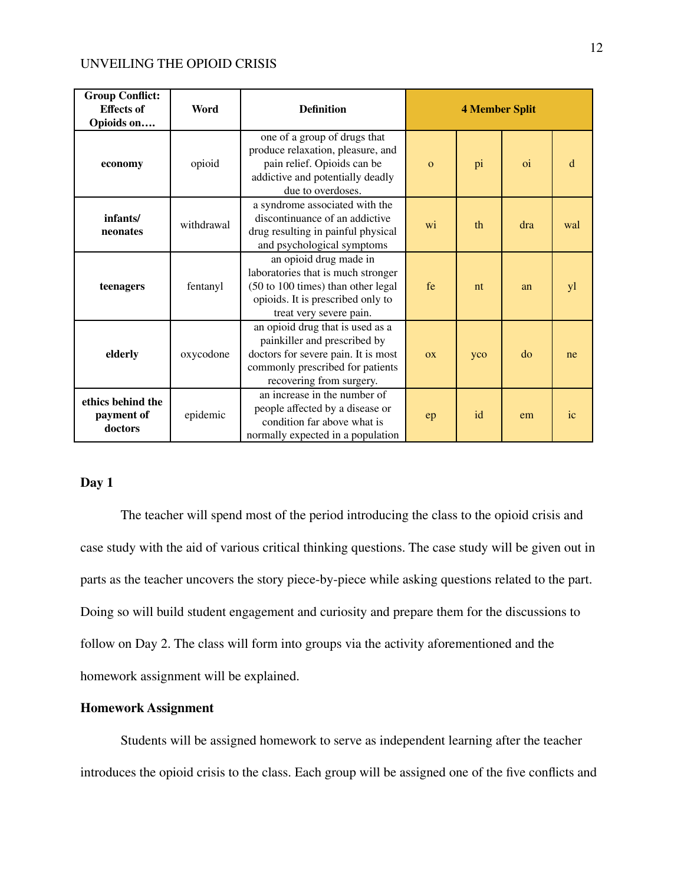| <b>Group Conflict:</b><br><b>Effects of</b><br>Opioids on | Word       | <b>Definition</b>                                                                                                                                                       | <b>4 Member Split</b> |     |               |     |
|-----------------------------------------------------------|------------|-------------------------------------------------------------------------------------------------------------------------------------------------------------------------|-----------------------|-----|---------------|-----|
| economy                                                   | opioid     | one of a group of drugs that<br>produce relaxation, pleasure, and<br>pain relief. Opioids can be<br>addictive and potentially deadly<br>due to overdoses.               | $\mathbf{o}$          | pi  | <sub>oi</sub> | d   |
| infants/<br>neonates                                      | withdrawal | a syndrome associated with the<br>discontinuance of an addictive<br>drug resulting in painful physical<br>and psychological symptoms                                    | wi                    | th  | dra           | wal |
| teenagers                                                 | fentanyl   | an opioid drug made in<br>laboratories that is much stronger<br>(50 to 100 times) than other legal<br>opioids. It is prescribed only to<br>treat very severe pain.      | fe                    | nt  | an            | yl  |
| elderly                                                   | oxycodone  | an opioid drug that is used as a<br>painkiller and prescribed by<br>doctors for severe pain. It is most<br>commonly prescribed for patients<br>recovering from surgery. | <b>OX</b>             | yco | do            | ne  |
| ethics behind the<br>payment of<br>doctors                | epidemic   | an increase in the number of<br>people affected by a disease or<br>condition far above what is<br>normally expected in a population                                     | ep                    | id  | em            | ic  |

## **Day 1**

The teacher will spend most of the period introducing the class to the opioid crisis and case study with the aid of various critical thinking questions. The case study will be given out in parts as the teacher uncovers the story piece-by-piece while asking questions related to the part. Doing so will build student engagement and curiosity and prepare them for the discussions to follow on Day 2. The class will form into groups via the activity aforementioned and the homework assignment will be explained.

#### **Homework Assignment**

Students will be assigned homework to serve as independent learning after the teacher introduces the opioid crisis to the class. Each group will be assigned one of the five conflicts and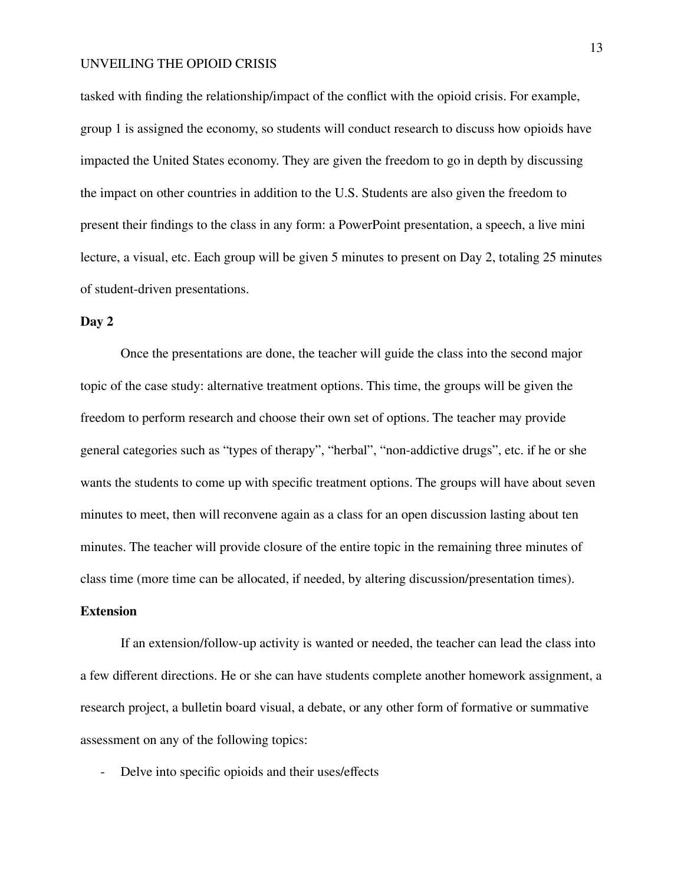tasked with finding the relationship/impact of the conflict with the opioid crisis. For example, group 1 is assigned the economy, so students will conduct research to discuss how opioids have impacted the United States economy. They are given the freedom to go in depth by discussing the impact on other countries in addition to the U.S. Students are also given the freedom to present their findings to the class in any form: a PowerPoint presentation, a speech, a live mini lecture, a visual, etc. Each group will be given 5 minutes to present on Day 2, totaling 25 minutes of student-driven presentations.

## **Day 2**

Once the presentations are done, the teacher will guide the class into the second major topic of the case study: alternative treatment options. This time, the groups will be given the freedom to perform research and choose their own set of options. The teacher may provide general categories such as "types of therapy", "herbal", "non-addictive drugs", etc. if he or she wants the students to come up with specific treatment options. The groups will have about seven minutes to meet, then will reconvene again as a class for an open discussion lasting about ten minutes. The teacher will provide closure of the entire topic in the remaining three minutes of class time (more time can be allocated, if needed, by altering discussion/presentation times).

## **Extension**

If an extension/follow-up activity is wanted or needed, the teacher can lead the class into a few different directions. He or she can have students complete another homework assignment, a research project, a bulletin board visual, a debate, or any other form of formative or summative assessment on any of the following topics:

Delve into specific opioids and their uses/effects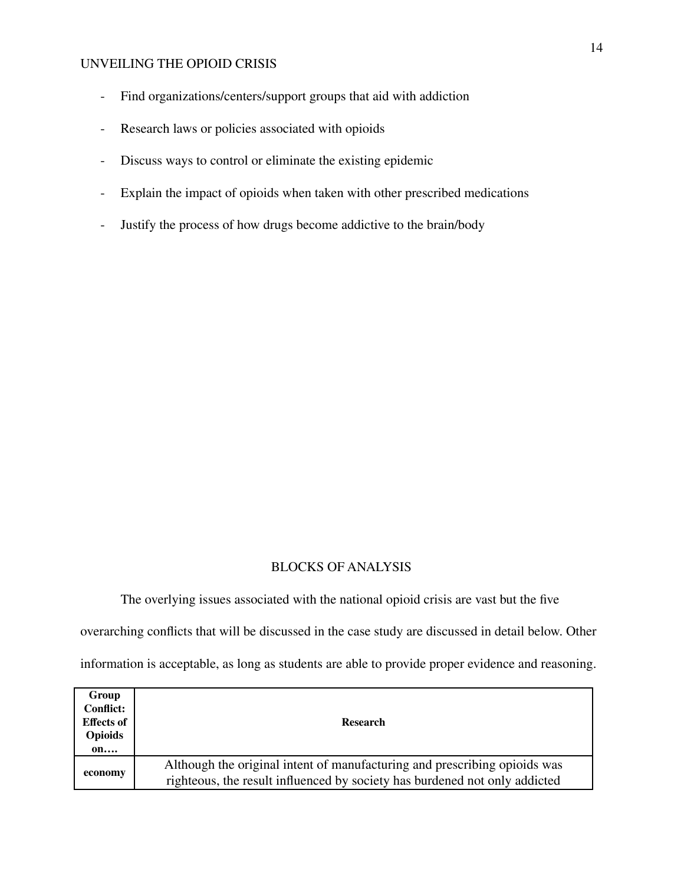- Find organizations/centers/support groups that aid with addiction
- Research laws or policies associated with opioids
- Discuss ways to control or eliminate the existing epidemic
- Explain the impact of opioids when taken with other prescribed medications
- Justify the process of how drugs become addictive to the brain/body

## BLOCKS OF ANALYSIS

The overlying issues associated with the national opioid crisis are vast but the five overarching conflicts that will be discussed in the case study are discussed in detail below. Other information is acceptable, as long as students are able to provide proper evidence and reasoning.

| Group             |                                                                            |  |  |  |
|-------------------|----------------------------------------------------------------------------|--|--|--|
| <b>Conflict:</b>  |                                                                            |  |  |  |
| <b>Effects of</b> | <b>Research</b>                                                            |  |  |  |
| <b>Opioids</b>    |                                                                            |  |  |  |
| on                |                                                                            |  |  |  |
| economy           | Although the original intent of manufacturing and prescribing opioids was  |  |  |  |
|                   | righteous, the result influenced by society has burdened not only addicted |  |  |  |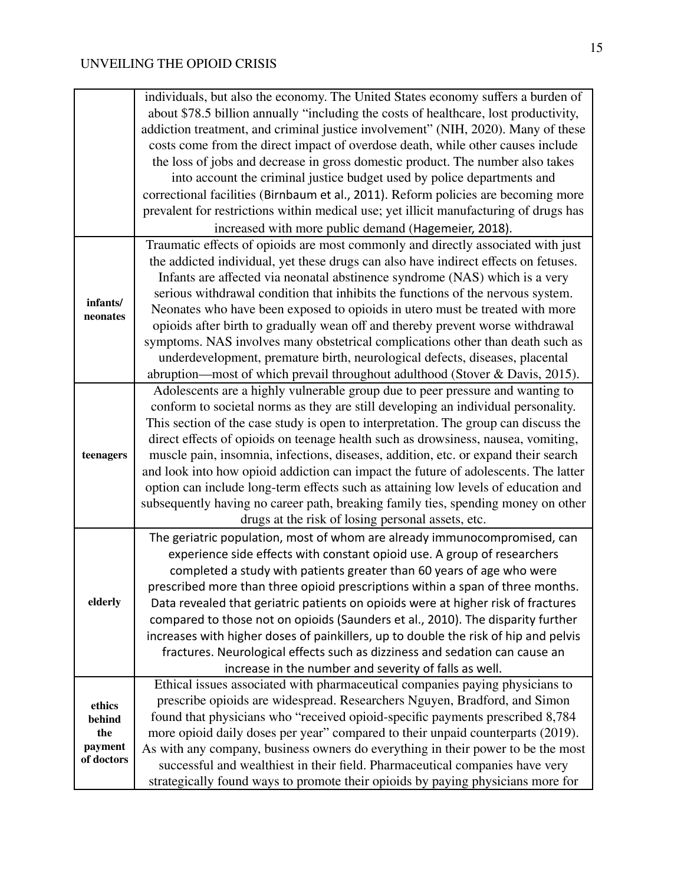|                       | individuals, but also the economy. The United States economy suffers a burden of      |
|-----------------------|---------------------------------------------------------------------------------------|
|                       | about \$78.5 billion annually "including the costs of healthcare, lost productivity,  |
|                       | addiction treatment, and criminal justice involvement" (NIH, 2020). Many of these     |
|                       | costs come from the direct impact of overdose death, while other causes include       |
|                       | the loss of jobs and decrease in gross domestic product. The number also takes        |
|                       | into account the criminal justice budget used by police departments and               |
|                       | correctional facilities (Birnbaum et al., 2011). Reform policies are becoming more    |
|                       | prevalent for restrictions within medical use; yet illicit manufacturing of drugs has |
|                       | increased with more public demand (Hagemeier, 2018).                                  |
|                       | Traumatic effects of opioids are most commonly and directly associated with just      |
|                       | the addicted individual, yet these drugs can also have indirect effects on fetuses.   |
|                       | Infants are affected via neonatal abstinence syndrome (NAS) which is a very           |
|                       | serious withdrawal condition that inhibits the functions of the nervous system.       |
| infants/              | Neonates who have been exposed to opioids in utero must be treated with more          |
| neonates              | opioids after birth to gradually wean off and thereby prevent worse withdrawal        |
|                       | symptoms. NAS involves many obstetrical complications other than death such as        |
|                       | underdevelopment, premature birth, neurological defects, diseases, placental          |
|                       | abruption—most of which prevail throughout adulthood (Stover & Davis, 2015).          |
|                       | Adolescents are a highly vulnerable group due to peer pressure and wanting to         |
|                       | conform to societal norms as they are still developing an individual personality.     |
|                       | This section of the case study is open to interpretation. The group can discuss the   |
|                       | direct effects of opioids on teenage health such as drowsiness, nausea, vomiting,     |
| teenagers             | muscle pain, insomnia, infections, diseases, addition, etc. or expand their search    |
|                       | and look into how opioid addiction can impact the future of adolescents. The latter   |
|                       | option can include long-term effects such as attaining low levels of education and    |
|                       | subsequently having no career path, breaking family ties, spending money on other     |
|                       | drugs at the risk of losing personal assets, etc.                                     |
|                       | The geriatric population, most of whom are already immunocompromised, can             |
|                       | experience side effects with constant opioid use. A group of researchers              |
|                       | completed a study with patients greater than 60 years of age who were                 |
|                       | prescribed more than three opioid prescriptions within a span of three months.        |
| elderly               | Data revealed that geriatric patients on opioids were at higher risk of fractures     |
|                       | compared to those not on opioids (Saunders et al., 2010). The disparity further       |
|                       | increases with higher doses of painkillers, up to double the risk of hip and pelvis   |
|                       | fractures. Neurological effects such as dizziness and sedation can cause an           |
|                       | increase in the number and severity of falls as well.                                 |
|                       | Ethical issues associated with pharmaceutical companies paying physicians to          |
| ethics                | prescribe opioids are widespread. Researchers Nguyen, Bradford, and Simon             |
| behind                | found that physicians who "received opioid-specific payments prescribed 8,784         |
| the                   | more opioid daily doses per year" compared to their unpaid counterparts (2019).       |
| payment<br>of doctors | As with any company, business owners do everything in their power to be the most      |
|                       | successful and wealthiest in their field. Pharmaceutical companies have very          |
|                       | strategically found ways to promote their opioids by paying physicians more for       |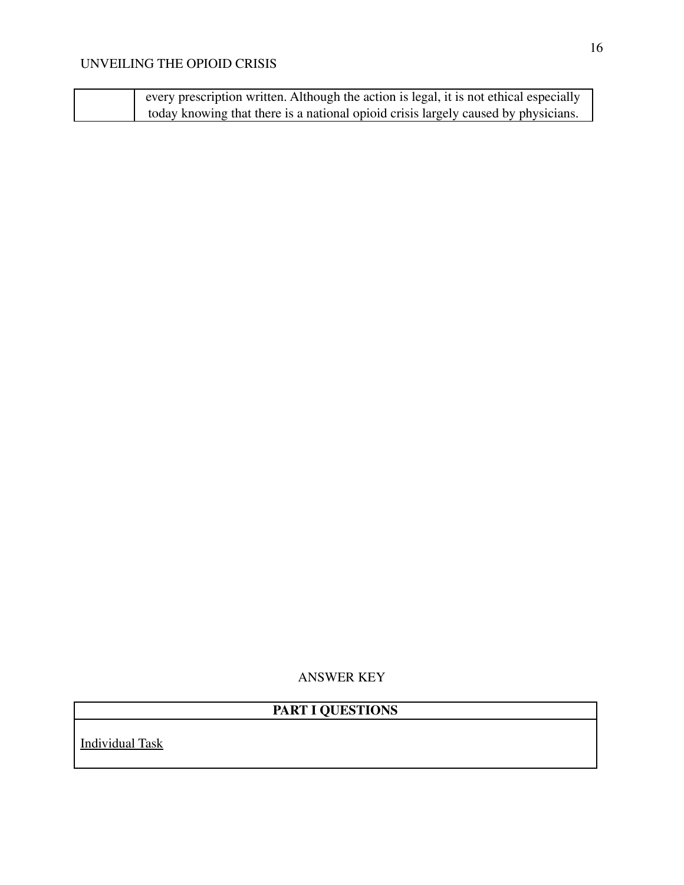| every prescription written. Although the action is legal, it is not ethical especially |
|----------------------------------------------------------------------------------------|
| today knowing that there is a national opioid crisis largely caused by physicians.     |

ANSWER KEY

# **PART I QUESTIONS**

Individual Task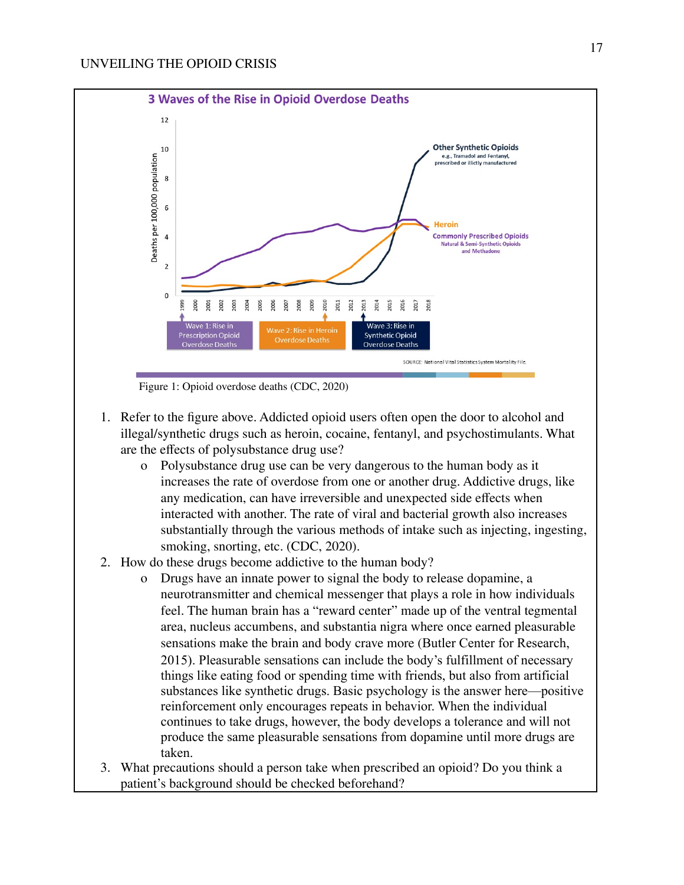

1. Refer to the figure above. Addicted opioid users often open the door to alcohol and illegal/synthetic drugs such as heroin, cocaine, fentanyl, and psychostimulants. What are the effects of polysubstance drug use?

- o Polysubstance drug use can be very dangerous to the human body as it increases the rate of overdose from one or another drug. Addictive drugs, like any medication, can have irreversible and unexpected side effects when interacted with another. The rate of viral and bacterial growth also increases substantially through the various methods of intake such as injecting, ingesting, smoking, snorting, etc. (CDC, 2020).
- 2. How do these drugs become addictive to the human body?
	- o Drugs have an innate power to signal the body to release dopamine, a neurotransmitter and chemical messenger that plays a role in how individuals feel. The human brain has a "reward center" made up of the ventral tegmental area, nucleus accumbens, and substantia nigra where once earned pleasurable sensations make the brain and body crave more (Butler Center for Research, 2015). Pleasurable sensations can include the body's fulfillment of necessary things like eating food or spending time with friends, but also from artificial substances like synthetic drugs. Basic psychology is the answer here—positive reinforcement only encourages repeats in behavior. When the individual continues to take drugs, however, the body develops a tolerance and will not produce the same pleasurable sensations from dopamine until more drugs are taken.
- 3. What precautions should a person take when prescribed an opioid? Do you think a patient's background should be checked beforehand?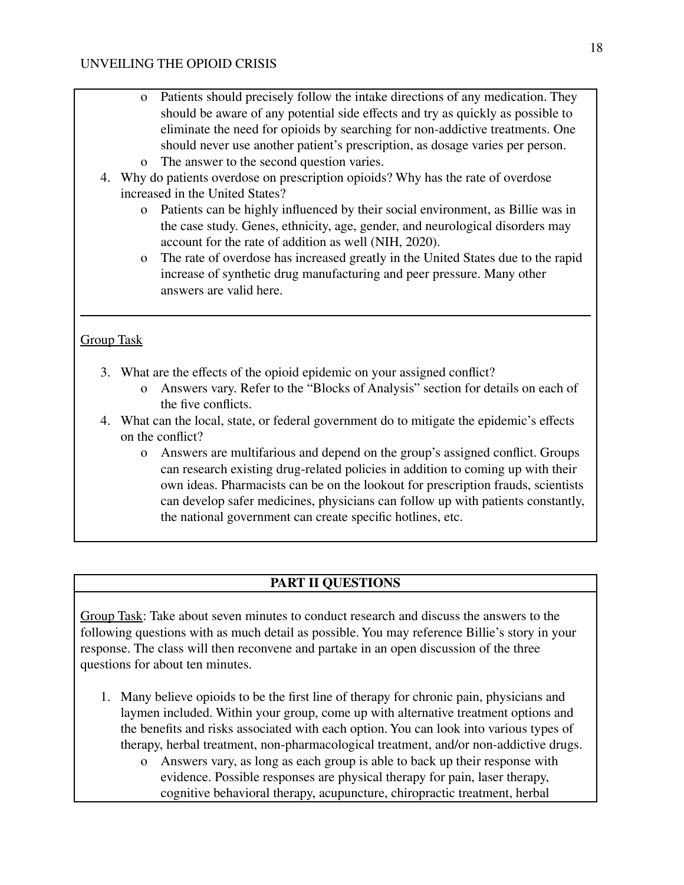- o Patients should precisely follow the intake directions of any medication. They should be aware of any potential side effects and try as quickly as possible to eliminate the need for opioids by searching for non-addictive treatments. One should never use another patient's prescription, as dosage varies per person.
- o The answer to the second question varies.
- 4. Why do patients overdose on prescription opioids? Why has the rate of overdose increased in the United States?
	- o Patients can be highly influenced by their social environment, as Billie was in the case study. Genes, ethnicity, age, gender, and neurological disorders may account for the rate of addition as well (NIH, 2020).
	- o The rate of overdose has increased greatly in the United States due to the rapid increase of synthetic drug manufacturing and peer pressure. Many other answers are valid here.

# Group Task

- 3. What are the effects of the opioid epidemic on your assigned conflict?
	- o Answers vary. Refer to the "Blocks of Analysis" section for details on each of the five conflicts.
- 4. What can the local, state, or federal government do to mitigate the epidemic's effects on the conflict?
	- o Answers are multifarious and depend on the group's assigned conflict. Groups can research existing drug-related policies in addition to coming up with their own ideas. Pharmacists can be on the lookout for prescription frauds, scientists can develop safer medicines, physicians can follow up with patients constantly, the national government can create specific hotlines, etc.

## **PART II QUESTIONS**

Group Task: Take about seven minutes to conduct research and discuss the answers to the following questions with as much detail as possible. You may reference Billie's story in your response. The class will then reconvene and partake in an open discussion of the three questions for about ten minutes.

- 1. Many believe opioids to be the first line of therapy for chronic pain, physicians and laymen included. Within your group, come up with alternative treatment options and the benefits and risks associated with each option. You can look into various types of therapy, herbal treatment, non-pharmacological treatment, and/or non-addictive drugs.
	- o Answers vary, as long as each group is able to back up their response with evidence. Possible responses are physical therapy for pain, laser therapy, cognitive behavioral therapy, acupuncture, chiropractic treatment, herbal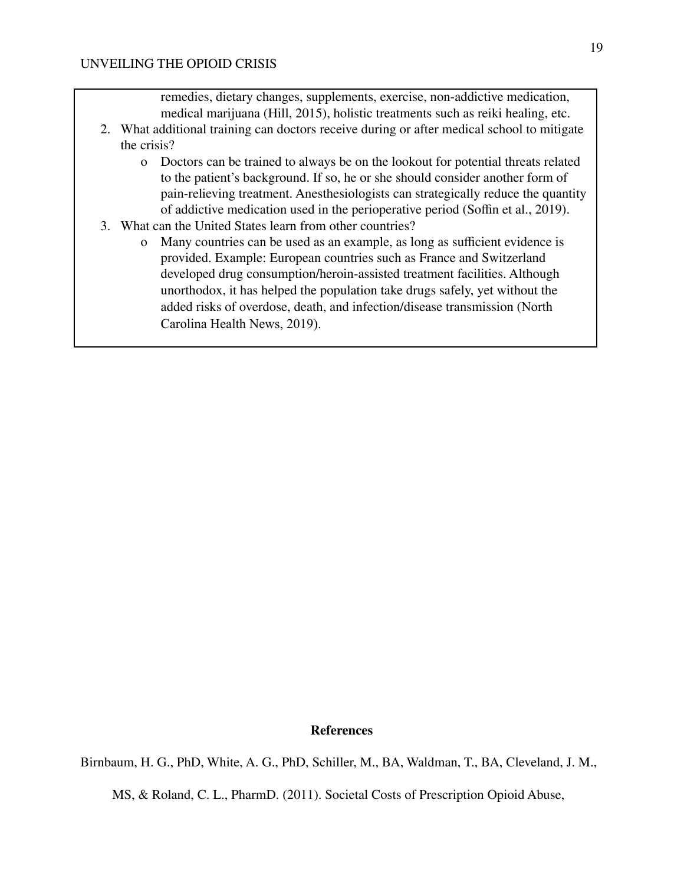remedies, dietary changes, supplements, exercise, non-addictive medication, medical marijuana (Hill, 2015), holistic treatments such as reiki healing, etc.

- 2. What additional training can doctors receive during or after medical school to mitigate the crisis?
	- o Doctors can be trained to always be on the lookout for potential threats related to the patient's background. If so, he or she should consider another form of pain-relieving treatment. Anesthesiologists can strategically reduce the quantity of addictive medication used in the perioperative period (Soffin et al., 2019).
- 3. What can the United States learn from other countries?
	- o Many countries can be used as an example, as long as sufficient evidence is provided. Example: European countries such as France and Switzerland developed drug consumption/heroin-assisted treatment facilities. Although unorthodox, it has helped the population take drugs safely, yet without the added risks of overdose, death, and infection/disease transmission (North Carolina Health News, 2019).

#### **References**

Birnbaum, H. G., PhD, White, A. G., PhD, Schiller, M., BA, Waldman, T., BA, Cleveland, J. M.,

MS, & Roland, C. L., PharmD. (2011). Societal Costs of Prescription Opioid Abuse,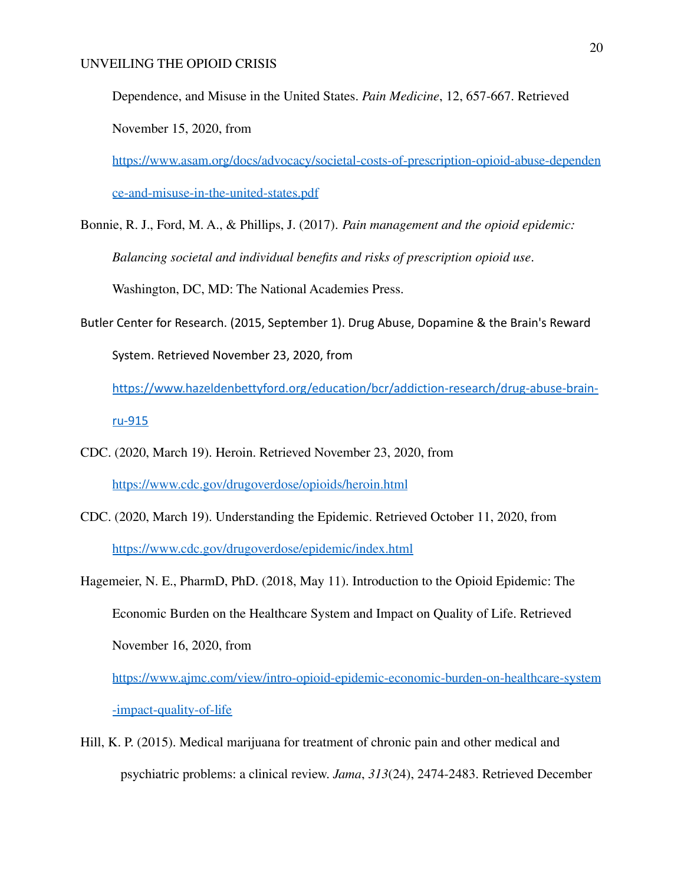Dependence, and Misuse in the United States. *Pain Medicine*, 12, 657-667. Retrieved November 15, 2020, from

[https://www.asam.org/docs/advocacy/societal-costs-of-prescription-opioid-abuse-dependen](https://www.asam.org/docs/advocacy/societal-costs-of-prescription-opioid-abuse-dependence-and-misuse-in-the-united-states.pdf) [ce-and-misuse-in-the-united-states.pdf](https://www.asam.org/docs/advocacy/societal-costs-of-prescription-opioid-abuse-dependence-and-misuse-in-the-united-states.pdf)

- Bonnie, R. J., Ford, M. A., & Phillips, J. (2017). *Pain management and the opioid epidemic: Balancing societal and individual benefits and risks of prescription opioid use*. Washington, DC, MD: The National Academies Press.
- Butler Center for Research. (2015, September 1). Drug Abuse, Dopamine & the Brain's Reward System. Retrieved November 23, 2020, from

[https://www.hazeldenbettyford.org/education/bcr/addiction-research/drug-abuse-brain](https://www.hazeldenbettyford.org/education/bcr/addiction-research/drug-abuse-brain-ru-915)[ru-915](https://www.hazeldenbettyford.org/education/bcr/addiction-research/drug-abuse-brain-ru-915)

- CDC. (2020, March 19). Heroin. Retrieved November 23, 2020, from <https://www.cdc.gov/drugoverdose/opioids/heroin.html>
- CDC. (2020, March 19). Understanding the Epidemic. Retrieved October 11, 2020, from <https://www.cdc.gov/drugoverdose/epidemic/index.html>
- Hagemeier, N. E., PharmD, PhD. (2018, May 11). Introduction to the Opioid Epidemic: The Economic Burden on the Healthcare System and Impact on Quality of Life. Retrieved November 16, 2020, from [https://www.ajmc.com/view/intro-opioid-epidemic-economic-burden-on-healthcare-system](https://www.ajmc.com/view/intro-opioid-epidemic-economic-burden-on-healthcare-system-impact-quality-of-life) [-impact-quality-of-life](https://www.ajmc.com/view/intro-opioid-epidemic-economic-burden-on-healthcare-system-impact-quality-of-life)
- Hill, K. P. (2015). Medical marijuana for treatment of chronic pain and other medical and psychiatric problems: a clinical review. *Jama*, *313*(24), 2474-2483. Retrieved December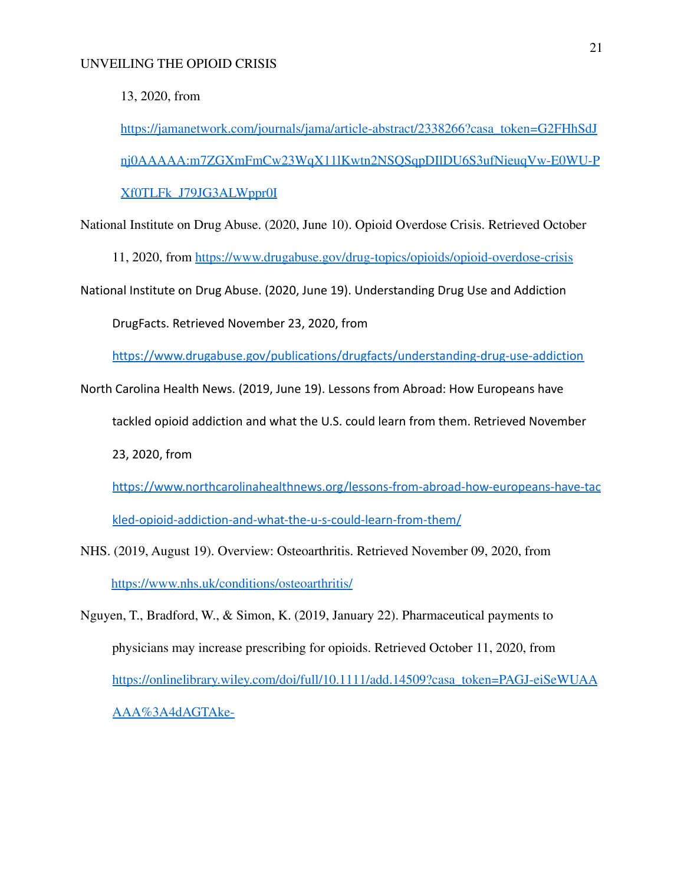13, 2020, from

[https://jamanetwork.com/journals/jama/article-abstract/2338266?casa\\_token=G2FHhSdJ](https://jamanetwork.com/journals/jama/article-abstract/2338266?casa_token=G2FHhSdJnj0AAAAA:m7ZGXmFmCw23WqX11lKwtn2NSQSqpDIlDU6S3ufNieuqVw-E0WU-PXf0TLFk_J79JG3ALWppr0I) [nj0AAAAA:m7ZGXmFmCw23WqX11lKwtn2NSQSqpDIlDU6S3ufNieuqVw-E0WU-P](https://jamanetwork.com/journals/jama/article-abstract/2338266?casa_token=G2FHhSdJnj0AAAAA:m7ZGXmFmCw23WqX11lKwtn2NSQSqpDIlDU6S3ufNieuqVw-E0WU-PXf0TLFk_J79JG3ALWppr0I) [Xf0TLFk\\_J79JG3ALWppr0I](https://jamanetwork.com/journals/jama/article-abstract/2338266?casa_token=G2FHhSdJnj0AAAAA:m7ZGXmFmCw23WqX11lKwtn2NSQSqpDIlDU6S3ufNieuqVw-E0WU-PXf0TLFk_J79JG3ALWppr0I)

National Institute on Drug Abuse. (2020, June 10). Opioid Overdose Crisis. Retrieved October

11, 2020, from <https://www.drugabuse.gov/drug-topics/opioids/opioid-overdose-crisis>

National Institute on Drug Abuse. (2020, June 19). Understanding Drug Use and Addiction

DrugFacts. Retrieved November 23, 2020, from

<https://www.drugabuse.gov/publications/drugfacts/understanding-drug-use-addiction>

North Carolina Health News. (2019, June 19). Lessons from Abroad: How Europeans have

tackled opioid addiction and what the U.S. could learn from them. Retrieved November

23, 2020, from

[https://www.northcarolinahealthnews.org/lessons-from-abroad-how-europeans-have-tac](https://www.northcarolinahealthnews.org/lessons-from-abroad-how-europeans-have-tackled-opioid-addiction-and-what-the-u-s-could-learn-from-them/)

[kled-opioid-addiction-and-what-the-u-s-could-learn-from-them/](https://www.northcarolinahealthnews.org/lessons-from-abroad-how-europeans-have-tackled-opioid-addiction-and-what-the-u-s-could-learn-from-them/)

NHS. (2019, August 19). Overview: Osteoarthritis. Retrieved November 09, 2020, from <https://www.nhs.uk/conditions/osteoarthritis/>

Nguyen, T., Bradford, W., & Simon, K. (2019, January 22). Pharmaceutical payments to physicians may increase prescribing for opioids. Retrieved October 11, 2020, from [https://onlinelibrary.wiley.com/doi/full/10.1111/add.14509?casa\\_token=PAGJ-eiSeWUAA](https://onlinelibrary.wiley.com/doi/full/10.1111/add.14509?casa_token=PAGJ-eiSeWUAAAAA%3A4dAGTAke-) [AAA%3A4dAGTAke-](https://onlinelibrary.wiley.com/doi/full/10.1111/add.14509?casa_token=PAGJ-eiSeWUAAAAA%3A4dAGTAke-)